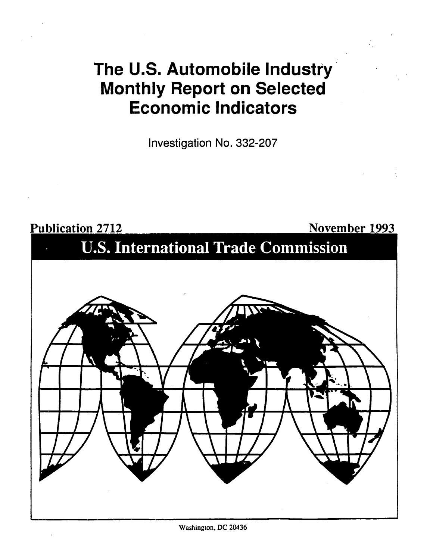# The U.S. Automobile Industry Monthly Report on Selected Economic Indicators

Investigation No. 332-207

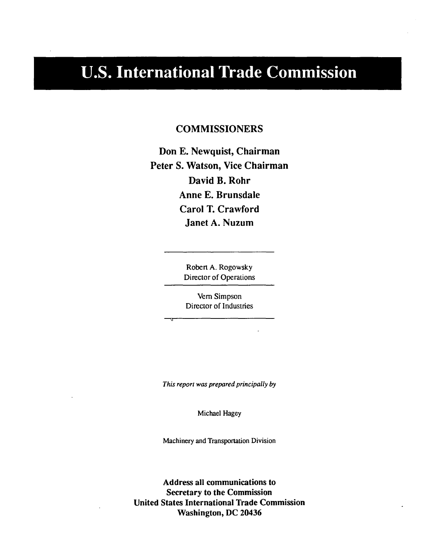# U.S. International Trade Commission

# **COMMISSIONERS**

Don E. Newquist, Chairman Peter S. Watson, Vice Chairman David B. Rohr Anne E. Brunsdale Carol T. Crawford Janet A. Nuzum

> Roben A. Rogowsky Director of Operations

Vern Simpson Director of Industries

*This report was prepared principally by* 

Michael Hagey

Machinery and Transportation Division

Address all communications to Secretary to the Commission United States International Trade Commission Washington, DC 20436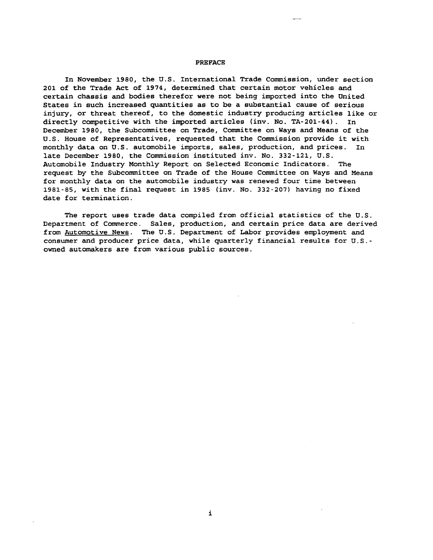#### PREFACE

In November 1980, the U.S. International Trade Commission, under section 201 of the Trade Act of 1974, determined that certain motor vehicles and certain chassis and bodies therefor were not being imported into the United States in such increased quantities as to be a substantial cause of serious injury, or threat thereof, to the domestic industry producing articles like or directly competitive with the imported articles (inv. No. TA-201-44). In December 1980, the Subcommittee on Trade, Committee on Ways and Means of the U.S. House of Representatives, requested that the Commission provide it with monthly data on U.S. automobile imports, sales, production, and prices. In late December 1980, the Commission instituted inv. No. 332-121, U.S. Automobile Industry Monthly Report on Selected Economic Indicators. The request by the Subcommittee on Trade of the House Committee on Ways and Means for monthly data on the automobile industry was renewed four time between 1981-85, with the final request in 1985 (inv. No. 332-207) having no fixed date for termination.

The report uses trade data compiled from official statistics of the U.S. Department of Commerce. Sales, production, and certain price data are derived from Automotive News. The U.S. Department of Labor provides employment and consumer and producer price data, while quarterly financial results for U.S. owned automakers are from various public sources.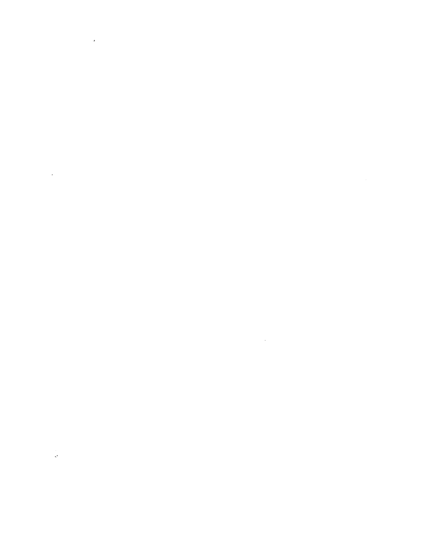$\label{eq:2.1} \frac{d}{dt} \left( \frac{d}{dt} \right) = \frac{1}{2} \left( \frac{d}{dt} \right) \left( \frac{d}{dt} \right) = \frac{1}{2} \left( \frac{d}{dt} \right)$ 

 $\label{eq:2.1} \frac{1}{\sqrt{2\pi}}\int_{\mathbb{R}^3}\frac{1}{\sqrt{2\pi}}\left(\frac{1}{\sqrt{2\pi}}\right)^2\frac{1}{\sqrt{2\pi}}\int_{\mathbb{R}^3}\frac{1}{\sqrt{2\pi}}\frac{1}{\sqrt{2\pi}}\frac{1}{\sqrt{2\pi}}\frac{1}{\sqrt{2\pi}}\frac{1}{\sqrt{2\pi}}\frac{1}{\sqrt{2\pi}}\frac{1}{\sqrt{2\pi}}\frac{1}{\sqrt{2\pi}}\frac{1}{\sqrt{2\pi}}\frac{1}{\sqrt{2\pi}}\frac{1}{\sqrt{2\pi}}\frac{$ 

 $\label{eq:2.1} \frac{1}{\sqrt{2}}\int_{\mathbb{R}^3}\frac{1}{\sqrt{2}}\left(\frac{1}{\sqrt{2}}\right)^2\frac{1}{\sqrt{2}}\left(\frac{1}{\sqrt{2}}\right)^2\frac{1}{\sqrt{2}}\left(\frac{1}{\sqrt{2}}\right)^2\frac{1}{\sqrt{2}}\left(\frac{1}{\sqrt{2}}\right)^2\frac{1}{\sqrt{2}}\left(\frac{1}{\sqrt{2}}\right)^2\frac{1}{\sqrt{2}}\left(\frac{1}{\sqrt{2}}\right)^2\frac{1}{\sqrt{2}}\left(\frac{1}{\sqrt{2}}\right)^2\frac{1}{\sqrt{$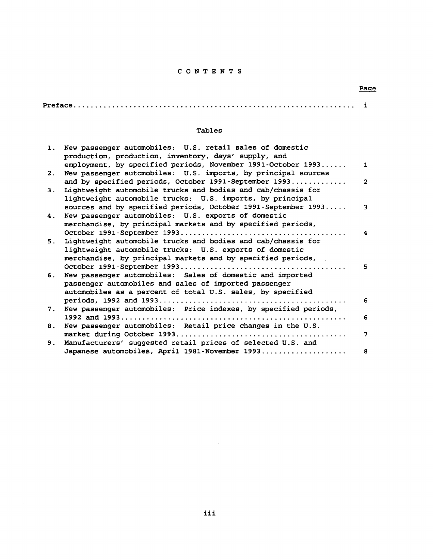## C 0 N T E N T S

Page

# Preface.................................................................. i

### Tables

| 1. | New passenger automobiles: U.S. retail sales of domestic<br>production, production, inventory, days' supply, and |                |
|----|------------------------------------------------------------------------------------------------------------------|----------------|
|    | employment, by specified periods, November 1991-October 1993                                                     | $\mathbf{1}$   |
| 2. | New passenger automobiles: U.S. imports, by principal sources                                                    |                |
|    | and by specified periods, October 1991-September 1993                                                            | $\overline{2}$ |
| 3. | Lightweight automobile trucks and bodies and cab/chassis for                                                     |                |
|    | lightweight automobile trucks: U.S. imports, by principal                                                        |                |
|    | sources and by specified periods, October 1991-September 1993                                                    | 3              |
| 4. | New passenger automobiles: U.S. exports of domestic                                                              |                |
|    | merchandise, by principal markets and by specified periods,                                                      |                |
|    |                                                                                                                  | 4              |
| 5. | Lightweight automobile trucks and bodies and cab/chassis for                                                     |                |
|    | lightweight automobile trucks: U.S. exports of domestic                                                          |                |
|    | merchandise, by principal markets and by specified periods,                                                      |                |
|    |                                                                                                                  | 5              |
| 6. | New passenger automobiles: Sales of domestic and imported                                                        |                |
|    | passenger automobiles and sales of imported passenger                                                            |                |
|    | automobiles as a percent of total U.S. sales, by specified                                                       |                |
|    |                                                                                                                  | 6              |
| 7. | New passenger automobiles: Price indexes, by specified periods,                                                  |                |
|    |                                                                                                                  | 6              |
| 8. | New passenger automobiles: Retail price changes in the U.S.                                                      |                |
|    |                                                                                                                  | 7              |
| 9. | Manufacturers' suggested retail prices of selected U.S. and                                                      |                |
|    |                                                                                                                  | 8              |
|    | Japanese automobiles, April 1981-November 1993                                                                   |                |

 $\mathcal{L}^{\text{max}}_{\text{max}}$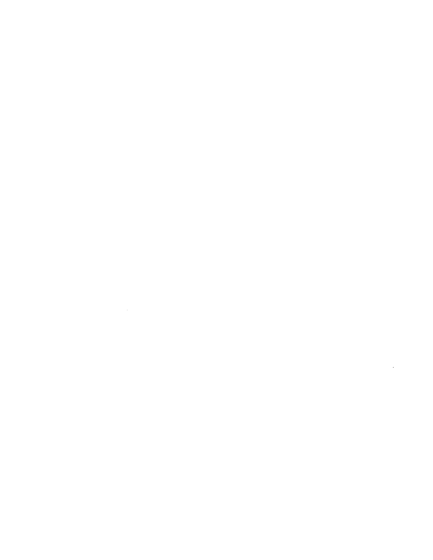$\label{eq:2.1} \frac{1}{\sqrt{2}}\left(\frac{1}{\sqrt{2}}\right)^{2} \left(\frac{1}{\sqrt{2}}\right)^{2} \left(\frac{1}{\sqrt{2}}\right)^{2} \left(\frac{1}{\sqrt{2}}\right)^{2} \left(\frac{1}{\sqrt{2}}\right)^{2} \left(\frac{1}{\sqrt{2}}\right)^{2} \left(\frac{1}{\sqrt{2}}\right)^{2} \left(\frac{1}{\sqrt{2}}\right)^{2} \left(\frac{1}{\sqrt{2}}\right)^{2} \left(\frac{1}{\sqrt{2}}\right)^{2} \left(\frac{1}{\sqrt{2}}\right)^{2} \left(\$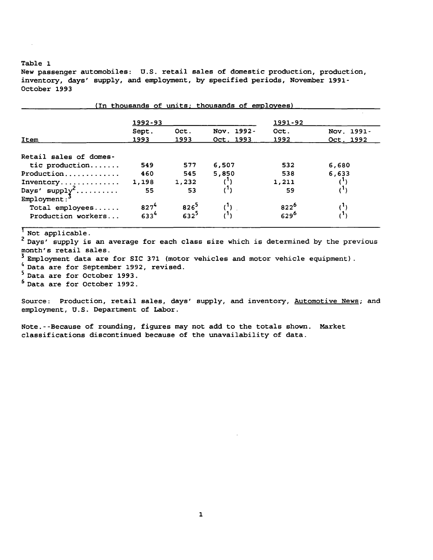Table 1

New passenger automobiles: U.S. retail sales of domestic production, production, inventory, days' supply, and employment, by specified periods, November 1991- 0ctober 1993

|                                            |                       |                             | (In thousands of units; thousands of employees) |                       |            |
|--------------------------------------------|-----------------------|-----------------------------|-------------------------------------------------|-----------------------|------------|
|                                            | 1992-93               |                             |                                                 | 1991-92               |            |
|                                            | Sept.                 | Oct.                        | Nov. 1992-                                      | Oct.                  | Nov. 1991- |
| Item                                       | 1993                  | 1993                        | Oct. 1993                                       | 1992                  | Oct. 1992  |
| Retail sales of domes-                     |                       |                             |                                                 |                       |            |
| tic production                             | 549                   | 577                         | 6,507                                           | 532                   | 6,680      |
| Production                                 | 460                   | 545                         | 5,850                                           | 538                   | 6,633      |
| $\text{Inventory} \dots \dots \dots \dots$ | 1,198                 | 1,232                       | (1)                                             | 1,211                 |            |
| Days' $\text{supply}^2$<br>Employment:     | 55                    | 53                          |                                                 | 59                    |            |
| Total employees                            |                       |                             |                                                 |                       |            |
| Production workers                         | $\frac{827^4}{633^4}$ | $826^5$<br>632 <sup>5</sup> |                                                 | $\frac{822^6}{629^6}$ |            |

Not applicable.<br><sup>2</sup> Days' supply is an average for each class size which is determined by the previous month's retail sales.

3 Employment data are for SIC 371 (motor vehicles and motor vehicle equipment) .

<sup>4</sup> Data are for September 1992, revised.

5 Data are for October 1993.

6 Data are for October 1992.

Source: Production, retail sales, days' supply, and inventory, Automotive News; and employment, U.S. Department of Labor.

Note.--Because of rounding, figures may not add to the totals shown. Market classifications discontinued because of the unavailability of data.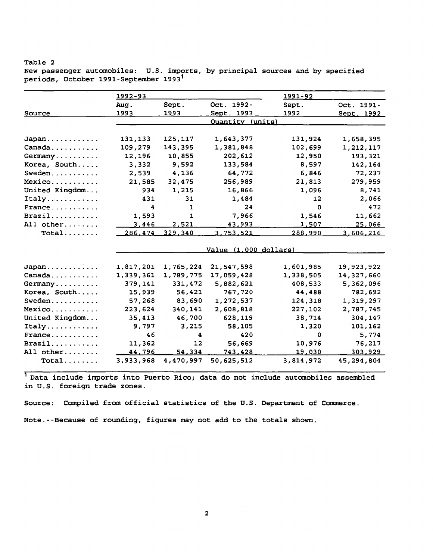## Table 2 New passenger automobiles: U.S. imports, by principal sources and by specified periods, October 1991-September 1993<sup>1</sup>

|                                        | 1992-93                 |                         |                         | 1991-92     |                  |  |  |  |
|----------------------------------------|-------------------------|-------------------------|-------------------------|-------------|------------------|--|--|--|
|                                        | Aug.                    | Sept.                   | Oct. 1992-              | Sept.       | Oct. 1991-       |  |  |  |
| <u>Source</u>                          | 1993                    | 1993                    | Sept. 1993              | 1992        | Sept. 1992       |  |  |  |
|                                        |                         |                         | <b>Quantity (units)</b> |             |                  |  |  |  |
|                                        |                         |                         |                         |             |                  |  |  |  |
| Japan                                  | 131,133                 | 125, 117                | 1,643,377               | 131,924     | 1,658,395        |  |  |  |
| Canada                                 | 109,279                 | 143,395                 | 1,381,848               | 102,699     | 1,212,117        |  |  |  |
| Germany                                | 12,196                  | 10,855                  | 202,612                 | 12,950      | 193,321          |  |  |  |
| Korea, South                           | 3,332                   | 9,592                   | 133,584                 | 8,597       | 142,164          |  |  |  |
| Sweden                                 | 2,539                   | 4,136                   | 64,772                  | 6,846       | 72,237           |  |  |  |
| Mexico                                 | 21,585                  | 32,475                  | 256,989                 | 21,813      | 279,959          |  |  |  |
| United Kingdom                         | 934                     | 1,215                   | 16,866                  | 1,096       | 8,741            |  |  |  |
| $Itally$                               | 431                     | 31                      | 1,484                   | 12          | 2,066            |  |  |  |
| France                                 | $\overline{\mathbf{4}}$ | 1                       | 24                      | $\Omega$    | 472              |  |  |  |
| $\texttt{Brazil} \dots \dots \dots$    | 1,593                   | 1                       | 7,966                   | 1,546       | 11,662           |  |  |  |
| All other                              | 3,446                   | 2,521                   | 43,993                  | 1,507       | 25,066           |  |  |  |
| $Total$                                |                         | 286, 474 329, 340       | 3,753,521               | 288,990     | <u>3,606,216</u> |  |  |  |
|                                        | Value (1,000 dollars)   |                         |                         |             |                  |  |  |  |
|                                        |                         |                         |                         |             |                  |  |  |  |
| Japan                                  | 1,817,201               | 1,765,224               | 21,547,598              | 1,601,985   | 19,923,922       |  |  |  |
| Canada                                 | 1,339,361               | 1,789,775               | 17,059,428              | 1,338,505   | 14,327,660       |  |  |  |
| Germany                                | 379,141                 | 331,472                 | 5,882,621               | 408,533     | 5,362,096        |  |  |  |
| Korea, South                           | 15,939                  | 56,421                  | 767,720                 | 44,488      | 782,692          |  |  |  |
| $S$ weden                              | 57,268                  | 83,690                  | 1,272,537               | 124,318     | 1,319,297        |  |  |  |
| $Mexico$                               | 223,624                 | 340,141                 | 2,608,818               | 227,102     | 2,787,745        |  |  |  |
| United Kingdom                         | 35,413                  | 46,700                  | 628,119                 | 38,714      | 304,147          |  |  |  |
| Italy                                  | 9,797                   | 3,215                   | 58,105                  | 1,320       | 101,162          |  |  |  |
| $France \dots \dots \dots$             | 46                      | $\overline{\mathbf{4}}$ | 420                     | $\mathbf 0$ | 5,774            |  |  |  |
| $\texttt{Brazil} \ldots \ldots \ldots$ | 11,362                  | $12 \overline{ }$       | 56,669                  | 10,976      | 76,217           |  |  |  |
| All other                              | 44,796                  | 54,334                  | 743,428                 | 19,030      | 303,929          |  |  |  |
| $Total$                                | 3,933,968               | 4,470,997               | 50,625,512              | 3,814,972   | 45,294,804       |  |  |  |

Data include imports into Puerto Rico; data do not include automobiles assembled in U.S. foreign trade zones.

Source: Compiled from official statistics of the U.S. Department of Commerce.

Note.--Because of rounding, figures may not add to the totals shown.

2

 $\sim 10^{-10}$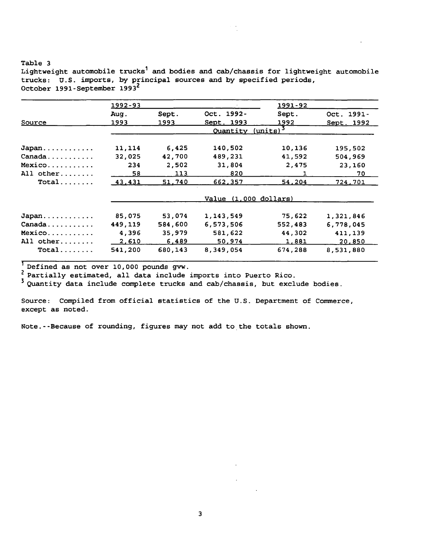# Table 3 Lightweight automobile  $trucks<sup>1</sup>$  and bodies and cab/chassis for lightweight automobile trucks: U.S. imports, by principal sources and by specified periods, October 1991-September 1993<sup>2</sup>

|           | 1992-93      |         |                       | 1991-92       |            |
|-----------|--------------|---------|-----------------------|---------------|------------|
|           | Aug.         | Sept.   | Oct. 1992-            | Sept.         | Oct. 1991- |
| Source    | 1993         | 1993    | <u>Sept. 1993</u>     | <u> 1992 </u> | Sept. 1992 |
|           |              |         | Ouantity              | (units)       |            |
| Japan     | 11,114       | 6,425   | 140,502               | 10,136        | 195,502    |
| Canada    | 32,025       | 42,700  | 489,231               | 41,592        | 504,969    |
| Mexico    | 234          | 2,502   | 31,804                | 2,475         | 23,160     |
| All other | 58           | 113     | 820                   |               | 70         |
| $Total$   | 43,431       | 51,740  | 662,357               | 54,204        | 724,701    |
|           |              |         | Value (1,000 dollars) |               |            |
| Japan     | 85,075       | 53,074  | 1,143,549             | 75,622        | 1,321,846  |
| Canada    | 449,119      | 584,600 | 6,573,506             | 552,483       | 6,778,045  |
| Mexico    | 4.396        | 35,979  | 581,622               | 44,302        | 411,139    |
| All other | <u>2,610</u> | 6,489   | 50,974                | 1,881         | 20,850     |
| $Total$   | 541,200      | 680,143 | 8,349,054             | 674,288       | 8,531,880  |

Defined as not over 10,000 pounds gvw.<br><sup>2</sup> Partially estimated, all data include imports into Puerto Rico.

3 Quantity data include complete trucks and cab/chassis, but exclude bodies.

Source: Compiled from official statistics of the U.S. Department of Commerce, except as noted.

Note.--Because of rounding, figures may not add to the totals shown.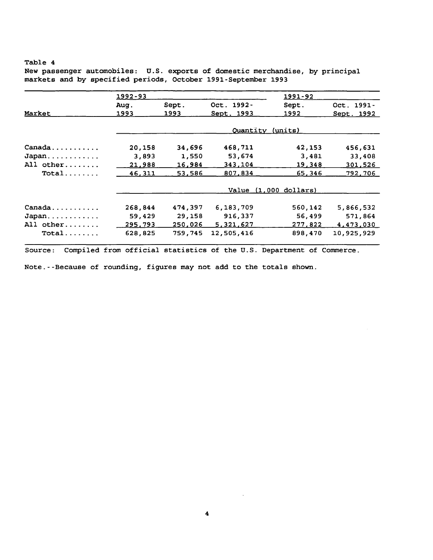Table 4 New passenger automobiles: U.S. exports of domestic merchandise, by principal markets and by specified periods, October 1991-September 1993

|           | 1992-93 |         |                  | 1991-92               |            |  |  |
|-----------|---------|---------|------------------|-----------------------|------------|--|--|
|           | Aug.    | Sept.   | Oct. 1992-       | Sept.                 | Oct. 1991- |  |  |
| Market    | 1993    | 1993    | Sept. 1993       | 1992                  | Sept. 1992 |  |  |
|           |         |         | Quantity (units) |                       |            |  |  |
| Canada.   | 20,158  | 34,696  | 468,711          | 42,153                | 456,631    |  |  |
| Japan     | 3,893   | 1,550   | 53,674           | 3,481                 | 33,408     |  |  |
| All other | 21,988  | 16,984  | 343,104          | <u>19,348</u>         | 301,526    |  |  |
| Total     | 46, 311 | 53,586  | 807,834          | 65,346                | 792,706    |  |  |
|           |         |         |                  | Value (1,000 dollars) |            |  |  |
| Canada    | 268,844 | 474,397 | 6,183,709        | 560,142               | 5,866,532  |  |  |
| Japan     | 59,429  | 29,158  | 916,337          | 56,499                | 571,864    |  |  |
| All other | 295,793 | 250,026 | 5,321,627        | 277,822               | 4,473,030  |  |  |
| Total     | 628,825 | 759,745 | 12,505,416       | 898,470               | 10,925,929 |  |  |

Source: Compiled from official statistics of the U.S. Department of Commerce.

Note.--Because of rounding, figures may not add to the totals shown.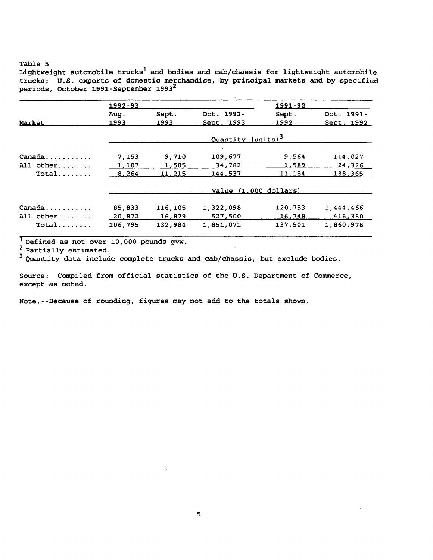#### Table 5

Lightweight automobile  $trucks<sup>1</sup>$  and bodies and cab/chassis for lightweight automobile trucks: U.S. exports of domestic merchandise, by principal markets and by specified periods, October 1991-September 1993<sup>2</sup>

|                                  | 1992-93 |         |                               | 1991-92 |            |
|----------------------------------|---------|---------|-------------------------------|---------|------------|
|                                  | Aug.    | Sept.   | Oct. 1992-                    | Sept.   | Oct. 1991- |
| Market                           | 1993    | 1993    | Sept. 1993                    | 1992    | Sept. 1992 |
|                                  |         |         | Quantity (units) <sup>3</sup> |         |            |
|                                  |         |         |                               |         |            |
| Canada.                          | 7,153   | 9,710   | 109,677                       | 9,564   | 114,027    |
| All other                        | 1,107   | 1,505   | 34,782                        | 1,589   | 24,326     |
| $Total$                          | 8.264   | 11,215  | 144,537                       | 11,154  | 138,365    |
|                                  |         |         | Value (1,000 dollars)         |         |            |
| $Canada, \ldots, \ldots, \ldots$ | 85,833  | 116,105 | 1,322,098                     | 120,753 | 1,444,466  |
| All other                        | 20,872  | 16,879  | 527,500                       | 16,748  | 416,380    |
| $Total$                          | 106,795 | 132,984 | 1,851,071                     | 137,501 | 1,860,978  |

The fined as not over 10,000 pounds gvw.<br>
<sup>2</sup> Partially estimated.

3 Quantity data include complete trucks and cab/chassis, but exclude bodies.

Source: Compiled from official statistics of the U.S. Department of Commerce, except as noted.

Note.--Because of rounding, figures may not add to the totals shown.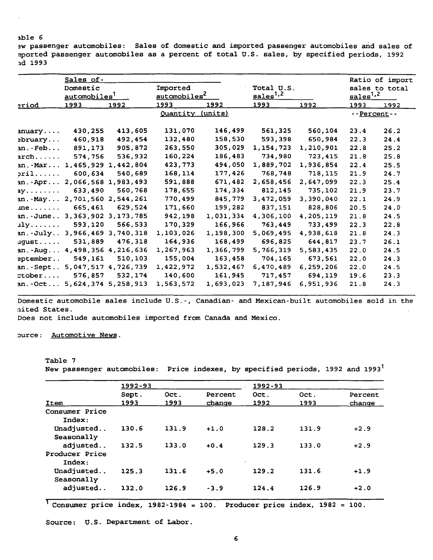#### able 6

Ew passenger automobiles: Sales of domestic and imported passenger automobiles and sales of mported passenger automobiles as a percent of total U.S. sales, by specified periods, 1992 nd 1993

|                                                                                                                                                                                                                                                                                                                     | Sales of-                |                         |                          |           |                               |           |                      | Ratio of import |
|---------------------------------------------------------------------------------------------------------------------------------------------------------------------------------------------------------------------------------------------------------------------------------------------------------------------|--------------------------|-------------------------|--------------------------|-----------|-------------------------------|-----------|----------------------|-----------------|
|                                                                                                                                                                                                                                                                                                                     | Domestic                 |                         | Imported                 |           | Total U.S.                    |           |                      | sales to total  |
|                                                                                                                                                                                                                                                                                                                     | automobiles <sup>1</sup> |                         | automobiles <sup>2</sup> |           | $_{\rm sales}$ <sup>1,2</sup> |           | sales <sup>1,2</sup> |                 |
| <u>ariod</u>                                                                                                                                                                                                                                                                                                        | <u> 1993 </u>            | 1992                    | <u> 1993</u>             | 1992      | <u> 1993 </u>                 | 1992      | <u> 1993 </u>        | 1992            |
|                                                                                                                                                                                                                                                                                                                     |                          |                         | Ouantity                 | (mits)    |                               |           | --Percent--          |                 |
| $\frac{1}{2}$ $\frac{1}{2}$ $\frac{1}{2}$ $\frac{1}{2}$ $\frac{1}{2}$ $\frac{1}{2}$ $\frac{1}{2}$ $\frac{1}{2}$ $\frac{1}{2}$ $\frac{1}{2}$ $\frac{1}{2}$ $\frac{1}{2}$ $\frac{1}{2}$ $\frac{1}{2}$ $\frac{1}{2}$ $\frac{1}{2}$ $\frac{1}{2}$ $\frac{1}{2}$ $\frac{1}{2}$ $\frac{1}{2}$ $\frac{1}{2}$ $\frac{1}{2}$ | 430,255                  | 413,605                 | 131,070                  | 146,499   | 561,325                       | 560,104   | 23.4                 | 26.2            |
| $B$ ruary                                                                                                                                                                                                                                                                                                           | 460,918                  | 492,454                 | 132,480                  | 158,530   | 593,398                       | 650,984   | 22.3                 | 24.4            |
| $an.-Feb$                                                                                                                                                                                                                                                                                                           | 891,173                  | 905,872                 | 263,550                  | 305,029   | 1,154,723                     | 1,210,901 | 22.8                 | 25.2            |
| $arch. \ldots$ .                                                                                                                                                                                                                                                                                                    | 574,756                  | 536,932                 | 160,224                  | 186,483   | 734,980                       | 723,415   | 21.8                 | 25.8            |
| $an.-Mar$                                                                                                                                                                                                                                                                                                           |                          | 1,465,929 1,442,804     | 423,773                  | 494,050   | 1,889,702                     | 1,936,854 | 22.4                 | 25.5            |
| pri1                                                                                                                                                                                                                                                                                                                | 600,634                  | 540,689                 | 168,114                  | 177,426   | 768,748                       | 718,115   | 21.9                 | 24.7            |
| $an.-Apr$                                                                                                                                                                                                                                                                                                           |                          | 2,066,568 1,983,493     | 591,888                  | 671,482   | 2,658,456                     | 2,647,099 | 22.3                 | 25.4            |
| ay                                                                                                                                                                                                                                                                                                                  | 633,490                  | 560,768                 | 178,655                  | 174,334   | 812,145                       | 735,102   | 21.9                 | 23.7            |
| $an.-May$                                                                                                                                                                                                                                                                                                           |                          | 2,701,560 2,544,261     | 770,499                  | 845,779   | 3,472,059                     | 3,390,040 | 22.1                 | 24.9            |
| une                                                                                                                                                                                                                                                                                                                 | 665,461                  | 629,524                 | 171,660                  | 199,282   | 837,151                       | 828,806   | 20.5                 | 24.0            |
| $an.-June$                                                                                                                                                                                                                                                                                                          |                          | 3, 363, 902 3, 173, 785 | 942,198                  | 1,031,334 | 4,306,100                     | 4,205,119 | 21.8                 | 24.5            |
| 11y                                                                                                                                                                                                                                                                                                                 | 593,120                  | 566,533                 | 170,329                  | 166,966   | 763,449                       | 733,499   | 22.3                 | 22.8            |
| $an.-July.$                                                                                                                                                                                                                                                                                                         |                          | 3,966,469 3,740,318     | 1,103,026                | 1,198,300 | 5,069,495                     | 4,938,618 | 21.8                 | 24.3            |
| ugust                                                                                                                                                                                                                                                                                                               | 531,889                  | 476,318                 | 164,936                  | 168,499   | 696,825                       | 644,817   | 23.7                 | 26.1            |
| $an.-Aug$                                                                                                                                                                                                                                                                                                           |                          | 4,498,356 4,216,636     | 1,267,963                | 1,366,799 | 5,766,319                     | 5,583,435 | 22.0                 | 24.5            |
| eptember                                                                                                                                                                                                                                                                                                            | 549,161                  | 510,103                 | 155,004                  | 163,458   | 704,165                       | 673,561   | 22.0                 | 24.3            |
| an.-Sept                                                                                                                                                                                                                                                                                                            |                          | 5,047,517 4,726,739     | 1,422,972                | 1,532,467 | 6,470,489                     | 6,259,206 | 22.0                 | 24.5            |
| ctober                                                                                                                                                                                                                                                                                                              | 576,857                  | 532,174                 | 140,600                  | 161,945   | 717,457                       | 694,119   | 19.6                 | 23.3            |
| an.-Oct 5, 624, 374 5, 258, 913                                                                                                                                                                                                                                                                                     |                          |                         | 1,563,572                | 1,693,023 | 7,187,946                     | 6,951,936 | 21.8                 | 24.3            |

Domestic automobile sales include U.S.-, Canadian- and Mexican-built automobiles sold in the nited States.

Does not include automobiles imported from Canada and Mexico.

ource: Automotive News.

#### Table 7

New passenger automobiles: Price indexes, by specified periods, 1992 and 1993<sup>1</sup>

|                                      | 1992-93       |              |                   | 1992-93      |              |                   |
|--------------------------------------|---------------|--------------|-------------------|--------------|--------------|-------------------|
| Item                                 | Sept.<br>1993 | Oct.<br>1993 | Percent<br>change | Oct.<br>1992 | Oct.<br>1993 | Percent<br>change |
| Consumer Price<br>Index:             |               |              |                   |              |              |                   |
| Unadjusted<br>Seasonally             | 130.6         | 131.9        | $+1.0$            | 128.2        | 131.9        | $+2.9$            |
| adjusted<br>Producer Price<br>Index: | 132.5         | 133.0        | $+0.4$            | 129.3        | 133.0        | $+2.9$            |
| Unadjusted<br>Seasonally             | 125.3         | 131.6        | $+5.0$            | 129.2        | 131.6        | $+1.9$            |
| adjusted                             | 132.0         | 126.9        | $-3.9$            | 124.4        | 126.9        | $+2.0$            |

 $\frac{1}{1}$  Consumer price index, 1982-1984 = 100. Producer price index, 1982 = 100.

Source: U.S. Department of Labor.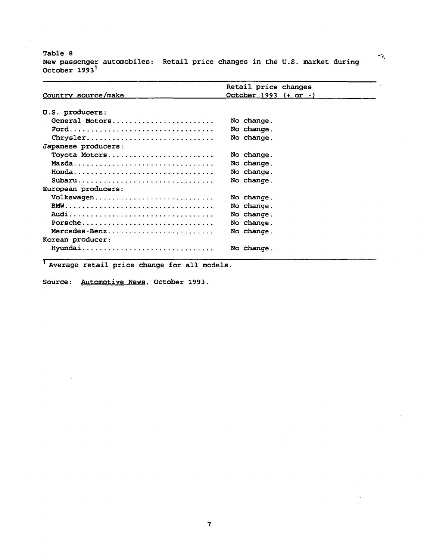Table 8 New passenger automobiles: Retail price changes in the U.S. market during October 1993<sup>1</sup>

|                                                                           | Retail price changes         |
|---------------------------------------------------------------------------|------------------------------|
| Country source/make                                                       | <u>October 1993 (+ or -)</u> |
|                                                                           |                              |
| U.S. producers:                                                           |                              |
| General Motors                                                            | No change.                   |
| Ford                                                                      | No change.                   |
| Chrysler                                                                  | No change.                   |
| Japanese producers:                                                       |                              |
| Toyota Motors                                                             | No change.                   |
|                                                                           | No change.                   |
|                                                                           | No change.                   |
| $\texttt{Subaru}, \dots, \dots, \dots, \dots, \dots, \dots, \dots, \dots$ | No change.                   |
| European producers:                                                       |                              |
| Volkswagen                                                                | No change.                   |
|                                                                           | No change.                   |
|                                                                           | No change.                   |
| Porsche                                                                   | No change.                   |
| Mercedes-Benz                                                             | No change.                   |
| Korean producer:                                                          |                              |
| Hyundai                                                                   | No change.                   |

Average retail price change for all models.

Source: Automotive News, October 1993.

 $\gamma_{\rm G}$